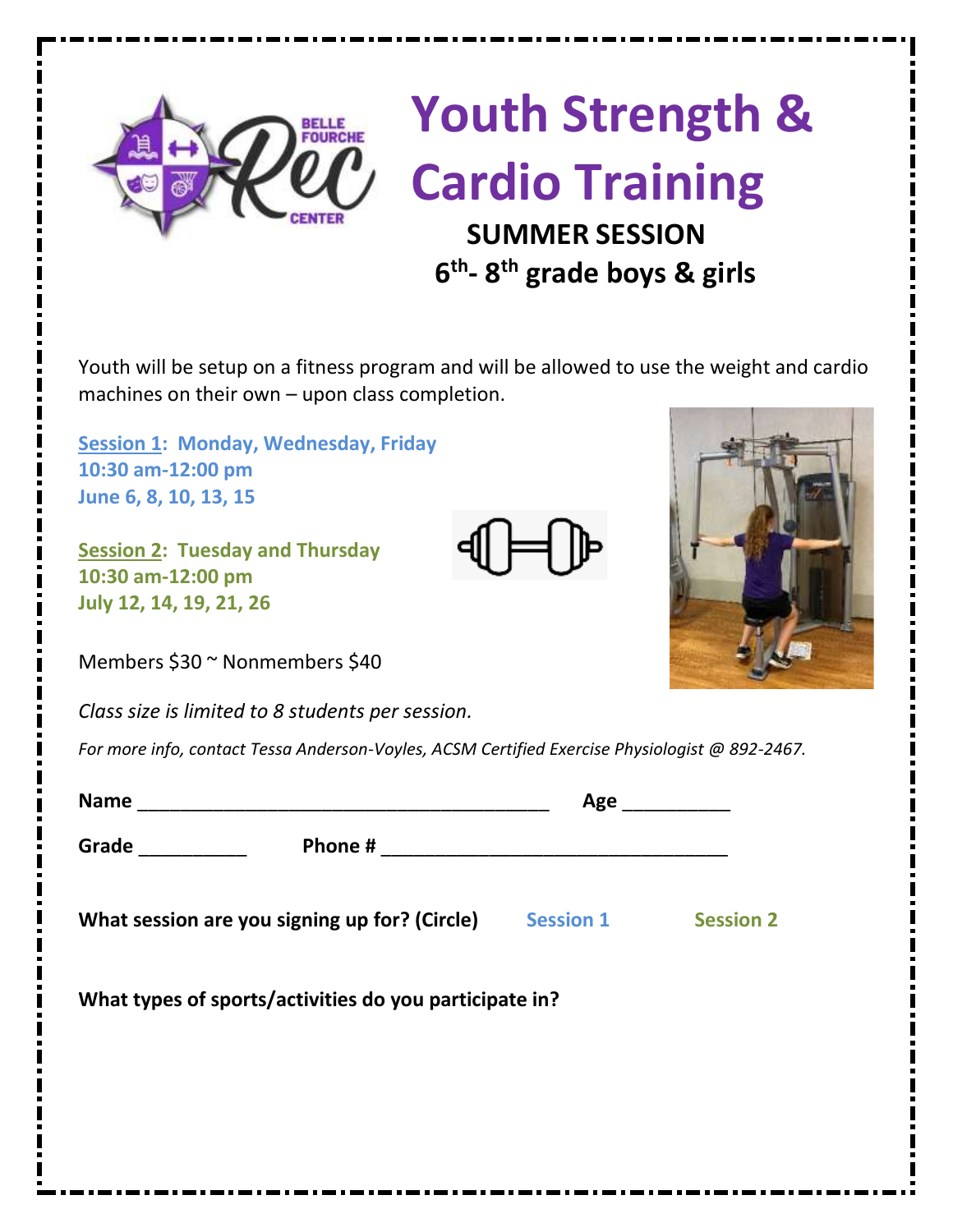

## **Youth Strength & Cardio Training SUMMER SESSION 6 6 6 6 th - 8 th grade boys & girls**

Youth will be setup on a fitness program and will be allowed to use the weight and cardio machines on their own – upon class completion.

**Session 1: Monday, Wednesday, Friday 10:30 am-12:00 pm June 6, 8, 10, 13, 15**

**Session 2: Tuesday and Thursday 10:30 am-12:00 pm July 12, 14, 19, 21, 26**

Members \$30 ~ Nonmembers \$40

*Class size is limited to 8 students per session.*

*For more info, contact Tessa Anderson-Voyles, ACSM Certified Exercise Physiologist @ 892-2467.*

| Age                                                               |  |
|-------------------------------------------------------------------|--|
|                                                                   |  |
| What session are you signing up for? (Circle) Session 1 Session 2 |  |
| What types of sports/activities do you participate in?            |  |
|                                                                   |  |
|                                                                   |  |
|                                                                   |  |